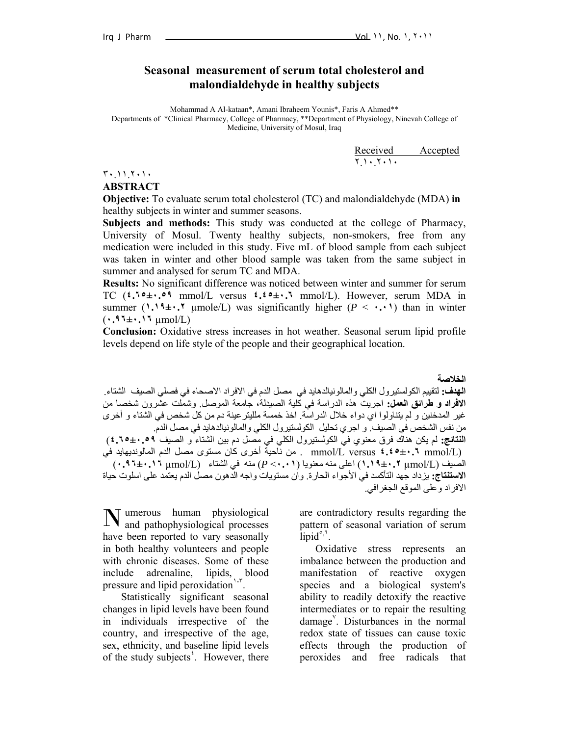## **Seasonal measurement of serum total cholesterol and malondialdehyde in healthy subjects**

Mohammad A Al-kataan\*, Amani Ibraheem Younis\*, Faris A Ahmed\*\* Departments of \*Clinical Pharmacy, College of Pharmacy, \*\*Department of Physiology, Ninevah College of Medicine, University of Mosul, Iraq

**Received Accepted** ٢.١٠.٢٠١٠

٣٠.١١.٢٠١٠

**ABSTRACT** 

**Objective:** To evaluate serum total cholesterol (TC) and malondialdehyde (MDA) **in**  healthy subjects in winter and summer seasons.

**Subjects and methods:** This study was conducted at the college of Pharmacy, University of Mosul. Twenty healthy subjects, non-smokers, free from any medication were included in this study. Five mL of blood sample from each subject was taken in winter and other blood sample was taken from the same subject in summer and analysed for serum TC and MDA.

**Results:** No significant difference was noticed between winter and summer for serum TC (**٤.٦٥±٠.٥٩** mmol/L versus **٤.٤٥±٠.٦** mmol/L). However, serum MDA in summer ( $\cdot \cdot \cdot$ ,  $\cdot \cdot \cdot$ ,  $\cdot \cdot$  µmole/L) was significantly higher ( $P \leq \cdot \cdot \cdot$ ) than in winter (**٠.٩٦±٠.١٦** µmol/L)

**Conclusion:** Oxidative stress increases in hot weather. Seasonal serum lipid profile levels depend on life style of the people and their geographical location.

**الخلاصة الهدف:** لتقييم الكولستيرول الكلي والمالونيالدهايد في مصل الدم في الافراد الاصحاء في فصلي الصيف الشتاء. **الافراد و طرائق العمل:** اجريت هذه الدراسة في آلية الصيدلة، جامعة الموصل. وشملت عشرون شخصا من غير المدخنين و لم يتناولوا اي دواء خلال الدراسة. اخذ خمسة ملليتر عينة دم من كل شخص في الشتاء و أخرى من نفس الشخص في الصيف. و اجري تحليل الكولستيرول الكلي والمالونيالدهايد في مصل الدم. **النتائج:** لم يكن هناك فرق معنوي في الكولستيرول الكلي في مصل دم بين الشتاء و الصيف **٤.٦٥±٠.٥٩**) (L/mmol **٤.٤٥±٠.٦** versus L/mmol . من ناحية أخرى آان مستوى مصل الدم المالونديهايد في الصيف (L/µmol **١.١٩±٠.٢** (اعلى منه معنويا (**٠.٠١**> *P* (منه في الشتاء (L/µmol **٠.٩٦±٠.١٦**( **الاستنتاج:** يزداد جهد التأآسد في الأجواء الحارة. وان مستويات واجه الدهون مصل الدم يعتمد على اسلوت حياة الافراد وعلى الموقع الجغرافي.

umerous human physiological **N** umerous human physiological and pathophysiological processes have been reported to vary seasonally in both healthy volunteers and people with chronic diseases. Some of these include adrenaline, lipids, blood pressure and lipid peroxidation $1 - r$ .

 Statistically significant seasonal changes in lipid levels have been found in individuals irrespective of the country, and irrespective of the age, sex, ethnicity, and baseline lipid levels of the study subjects<sup>2</sup>. However, there are contradictory results regarding the pattern of seasonal variation of serum  $\lim_{n \to \infty}$ 

 Oxidative stress represents an imbalance between the production and manifestation of reactive oxygen species and a biological system's ability to readily detoxify the reactive intermediates or to repair the resulting damage<sup>Y</sup>. Disturbances in the normal redox state of tissues can cause toxic effects through the production of peroxides and free radicals that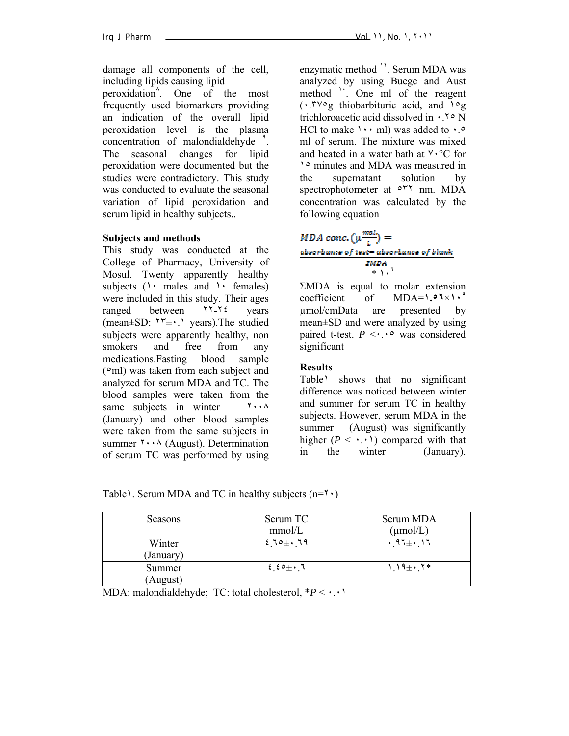damage all components of the cell, including lipids causing lipid

peroxidation<sup>^</sup>. One of the most frequently used biomarkers providing an indication of the overall lipid peroxidation level is the plasma concentration of malondialdehyde<sup>1</sup>. The seasonal changes for lipid peroxidation were documented but the studies were contradictory. This study was conducted to evaluate the seasonal variation of lipid peroxidation and serum lipid in healthy subjects..

### **Subjects and methods**

This study was conducted at the College of Pharmacy, University of Mosul. Twenty apparently healthy subjects  $(1 \cdot \text{ males and } \cdot \cdot \text{ females})$ were included in this study. Their ages ranged between ٢٢-٢٤ years (mean $\pm$ SD:  $\tau$ <sup>+</sup> $\pm$ ·.  $\tau$  years). The studied subjects were apparently healthy, non smokers and free from any medications.Fasting blood sample (٥ml) was taken from each subject and analyzed for serum MDA and TC. The blood samples were taken from the same subjects in winter  $\cdots \wedge$ (January) and other blood samples were taken from the same subjects in summer  $\forall \cdot \cdot \land$  (August). Determination of serum TC was performed by using enzymatic method  $'$ . Serum MDA was analyzed by using Buege and Aust method <sup>1</sup>. One ml of the reagent (٠.٣٧٥g thiobarbituric acid, and ١٥g trichloroacetic acid dissolved in ٠.٢٥ N HCl to make  $\cdots$  ml) was added to  $\cdot$ . ml of serum. The mixture was mixed and heated in a water bath at ٧٠°C for ١٥ minutes and MDA was measured in the supernatant solution by spectrophotometer at ٥٣٢ nm. MDA concentration was calculated by the following equation

# *MDA conc.*  $(\mu \frac{mol}{l}) =$ absorbance of test-absorbance of blank **ZMDA**  $*$   $\overline{) \cdot }$ <sup>1</sup>

ΣMDA is equal to molar extension coefficient of MDA=**١.٥٦**×**١٠<sup>٥</sup>** µmol/cmData are presented by mean±SD and were analyzed by using paired t-test.  $P \leq \cdot \cdot \cdot$  was considered significant

### **Results**

Table<sup>1</sup> shows that no significant difference was noticed between winter and summer for serum TC in healthy subjects. However, serum MDA in the summer (August) was significantly higher  $(P \leq \cdot \cdot \cdot)$  compared with that in the winter (January).

Table<sup>1</sup>. Serum MDA and TC in healthy subjects ( $n=1$ <sup>.</sup>)

| Seasons             | Serum TC   | Serum MDA            |
|---------------------|------------|----------------------|
|                     | mmol/L     | $(\mu \text{mol/L})$ |
| Winter<br>(January) | $210 + 19$ | $.97\pm.17$          |
| Summer<br>(August)  | $2.50 + 7$ | $1.19 \pm 1.7*$      |

MDA: malondialdehyde; TC: total cholesterol, \**P* < ٠.٠١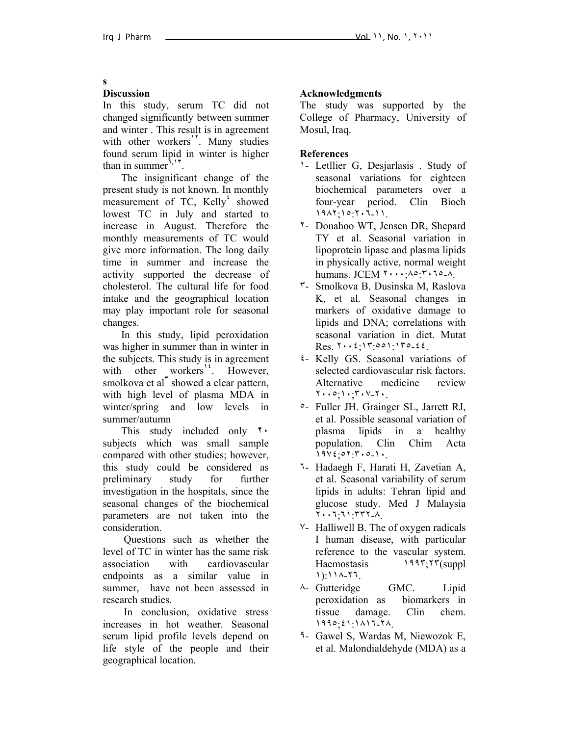#### **s**

### **Discussion**

In this study, serum TC did not changed significantly between summer and winter . This result is in agreement with other workers<sup>1</sup>. Many studies found serum lipid in winter is higher than in summer**<sup>٦</sup>,<sup>١٣</sup>**.

 The insignificant change of the present study is not known. In monthly measurement of TC, Kelly<sup>*'*</sup> showed lowest TC in July and started to increase in August. Therefore the monthly measurements of TC would give more information. The long daily time in summer and increase the activity supported the decrease of cholesterol. The cultural life for food intake and the geographical location may play important role for seasonal changes.

 In this study, lipid peroxidation was higher in summer than in winter in the subjects. This study is in agreement with other workers<sup>14</sup>. However, smolkova et al<sup>†</sup> showed a clear pattern, with high level of plasma MDA in winter/spring and low levels in summer/autumn

 This study included only **٢٠** subjects which was small sample compared with other studies; however, this study could be considered as preliminary study for further investigation in the hospitals, since the seasonal changes of the biochemical parameters are not taken into the consideration.

 Questions such as whether the level of TC in winter has the same risk association with cardiovascular endpoints as a similar value in summer, have not been assessed in research studies.

 In conclusion, oxidative stress increases in hot weather. Seasonal serum lipid profile levels depend on life style of the people and their geographical location.

### **Acknowledgments**

The study was supported by the College of Pharmacy, University of Mosul, Iraq.

### **References**

- ١- Letllier G, Desjarlasis . Study of seasonal variations for eighteen biochemical parameters over a four-year period. Clin Bioch ١٩٨٢;١٥:٢٠٦-١١.
- ٢- Donahoo WT, Jensen DR, Shepard TY et al. Seasonal variation in lipoprotein lipase and plasma lipids in physically active, normal weight humans. JCEM ٢٠٠٠;٨٥:٣٠٦٥-٨.
- ٣- Smolkova B, Dusinska M, Raslova K, et al. Seasonal changes in markers of oxidative damage to lipids and DNA; correlations with seasonal variation in diet. Mutat  $Res. 7 \cdot \cdot \cdot 5 \cdot 17 \cdot 001 \cdot 170 - 52.$
- ٤- Kelly GS. Seasonal variations of selected cardiovascular risk factors. Alternative medicine review ٢٠٠٥;١٠;٣٠٧-٢٠.
- ٥- Fuller JH. Grainger SL, Jarrett RJ, et al. Possible seasonal variation of plasma lipids in a healthy population. Clin Chim Acta  $19V_{2}$ ,  $07:7:0-1$ .
- ٦- Hadaegh F, Harati H, Zavetian A, et al. Seasonal variability of serum lipids in adults: Tehran lipid and glucose study. Med J Malaysia ٢٠٠٦;٦١:٣٣٢-٨.
- ٧- Halliwell B. The of oxygen radicals I human disease, with particular reference to the vascular system. Haemostasis 1991; 17(suppl ١):١١٨-٢٦.
- ٨- Gutteridge GMC. Lipid peroxidation as biomarkers in tissue damage. Clin chem. ١٩٩٥;٤١:١٨١٦-٢٨.
- ٩- Gawel S, Wardas M, Niewozok E, et al. Malondialdehyde (MDA) as a